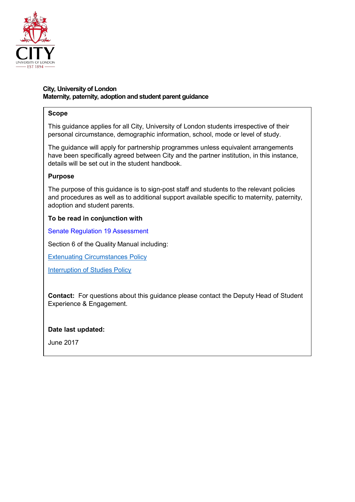

# **City, Universityof London Maternity, paternity, adoption and student parent guidance**

# **Scope**

This guidance applies for all City, University of London students irrespective of their personal circumstance, demographic information, school, mode or level of study.

The guidance will apply for partnership programmes unless equivalent arrangements have been specifically agreed between City and the partner institution, in this instance, details will be set out in the student handbook.

# **Purpose**

The purpose of this guidance is to sign-post staff and students to the relevant policies and procedures as well as to additional support available specific to maternity, paternity, adoption and student parents.

# **To be read in conjunction with**

Senate [Regulation 19](https://www.city.ac.uk/about/governance/constitution/senate-regulations) Assessment

Section 6 of the Quality Manual including:

Extenuating [Circumstances Policy](https://www.city.ac.uk/__data/assets/pdf_file/0005/372794/Extenuating_Circumstances_Policy-Dec-2017.pdf)

[Interruption of](https://www.city.ac.uk/__data/assets/pdf_file/0011/283088/Interruption-of-studies-policy.pdf) Studies Policy

**Contact:** For questions about this guidance please contact the Deputy Head of Student Experience & Engagement.

## **Date last updated:**

June 2017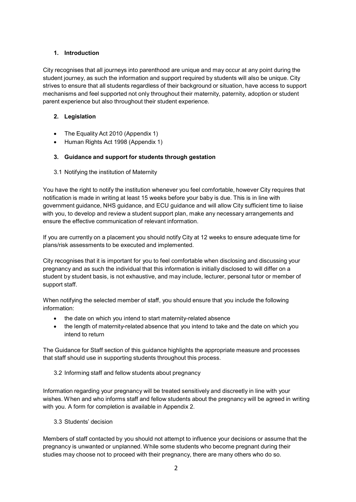## **1. Introduction**

City recognises that all journeys into parenthood are unique and may occur at any point during the student journey, as such the information and support required by students will also be unique. City strives to ensure that all students regardless of their background or situation, have access to support mechanisms and feel supported not only throughout their maternity, paternity, adoption or student parent experience but also throughout their student experience.

# **2. Legislation**

- The Equality Act 2010 (Appendix 1)
- Human Rights Act 1998 (Appendix 1)

# **3. Guidance and support for students through gestation**

3.1 Notifying the institution of Maternity

You have the right to notify the institution whenever you feel comfortable, however City requires that notification is made in writing at least 15 weeks before your baby is due. This is in line with government guidance, NHS guidance, and ECU guidance and will allow City sufficient time to liaise with you, to develop and review a student support plan, make any necessary arrangements and ensure the effective communication of relevant information.

If you are currently on a placement you should notify City at 12 weeks to ensure adequate time for plans/risk assessments to be executed and implemented.

City recognises that it is important for you to feel comfortable when disclosing and discussing your pregnancy and as such the individual that this information is initially disclosed to will differ on a student by student basis, is not exhaustive, and may include, lecturer, personal tutor or member of support staff.

When notifying the selected member of staff, you should ensure that you include the following information:

- the date on which you intend to start maternity-related absence
- the length of maternity-related absence that you intend to take and the date on which you intend to return

The Guidance for Staff section of this guidance highlights the appropriate measure and processes that staff should use in supporting students throughout this process.

3.2 Informing staff and fellow students about pregnancy

Information regarding your pregnancy will be treated sensitively and discreetly in line with your wishes. When and who informs staff and fellow students about the pregnancy will be agreed in writing with you. A form for completion is available in Appendix 2.

3.3 Students' decision

Members of staff contacted by you should not attempt to influence your decisions or assume that the pregnancy is unwanted or unplanned. While some students who become pregnant during their studies may choose not to proceed with their pregnancy, there are many others who do so.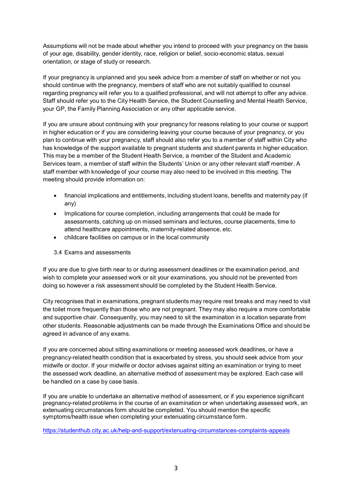Assumptions will not be made about whether you intend to proceed with your pregnancy on the basis of your age, disability, gender identity, race, religion or belief, socio-economic status, sexual orientation, or stage of study or research.

If your pregnancy is unplanned and you seek advice from a member of staff on whether or not you should continue with the pregnancy, members of staff who are not suitably qualified to counsel regarding pregnancy will refer you to a qualified professional, and will not attempt to offer any advice. Staff should refer you to the City Health Service, the Student Counselling and Mental Health Service, your GP, the Family Planning Association or any other applicable service.

If you are unsure about continuing with your pregnancy for reasons relating to your course or support in higher education or if you are considering leaving your course because of your pregnancy, or you plan to continue with your pregnancy, staff should also refer you to a member of staff within City who has knowledge of the support available to pregnant students and student parents in higher education. This may be a member of the Student Health Service, a member of the Student and Academic Services team, a member of staff within the Students' Union or any other relevant staff member. A staff member with knowledge of your course may also need to be involved in this meeting. The meeting should provide information on:

- financial implications and entitlements, including student loans, benefits and maternity pay (if any)
- Implications for course completion, including arrangements that could be made for assessments, catching up on missed seminars and lectures, course placements, time to attend healthcare appointments, maternity-related absence, etc.
- childcare facilities on campus or in the local community

### 3.4 Exams and assessments

If you are due to give birth near to or during assessment deadlines or the examination period, and wish to complete your assessed work or sit your examinations, you should not be prevented from doing so however a risk assessment should be completed by the Student Health Service.

City recognises that in examinations, pregnant students may require rest breaks and may need to visit the toilet more frequently than those who are not pregnant. They may also require a more comfortable and supportive chair. Consequently, you may need to sit the examination in a location separate from other students. Reasonable adjustments can be made through the Examinations Office and should be agreed in advance of any exams.

If you are concerned about sitting examinations or meeting assessed work deadlines, or have a pregnancy-related health condition that is exacerbated by stress, you should seek advice from your midwife or doctor. If your midwife or doctor advises against sitting an examination or trying to meet the assessed work deadline, an alternative method of assessment may be explored. Each case will be handled on a case by case basis.

If you are unable to undertake an alternative method of assessment, or if you experience significant pregnancy-related problems in the course of an examination or when undertaking assessed work, an extenuating circumstances form should be completed. You should mention the specific symptoms/health issue when completing your extenuating circumstance form.

<https://studenthub.city.ac.uk/help-and-support/extenuating-circumstances-complaints-appeals>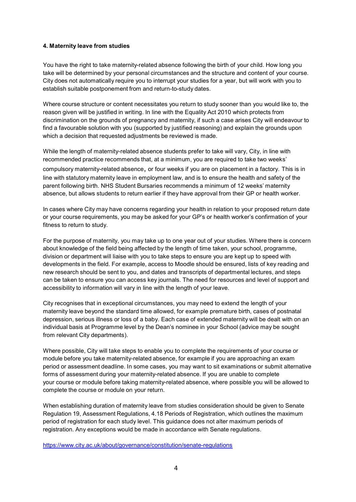#### **4. Maternity leave from studies**

You have the right to take maternity-related absence following the birth of your child. How long you take will be determined by your personal circumstances and the structure and content of your course. City does not automatically require you to interrupt your studies for a year, but will work with you to establish suitable postponement from and return-to-study dates.

Where course structure or content necessitates you return to study sooner than you would like to, the reason given will be justified in writing. In line with the Equality Act 2010 which protects from discrimination on the grounds of pregnancy and maternity, if such a case arises City will endeavour to find a favourable solution with you (supported by justified reasoning) and explain the grounds upon which a decision that requested adjustments be reviewed is made.

While the length of maternity-related absence students prefer to take will vary, City, in line with recommended practice recommends that, at a minimum, you are required to take two weeks'

compulsory maternity-related absence, or four weeks if you are on placement in a factory. This is in line with statutory maternity leave in employment law, and is to ensure the health and safety of the parent following birth. NHS Student Bursaries recommends a minimum of 12 weeks' maternity absence, but allows students to return earlier if they have approval from their GP or health worker.

In cases where City may have concerns regarding your health in relation to your proposed return date or your course requirements, you may be asked for your GP's or health worker's confirmation of your fitness to return to study.

For the purpose of maternity, you may take up to one year out of your studies. Where there is concern about knowledge of the field being affected by the length of time taken, your school, programme, division or department will liaise with you to take steps to ensure you are kept up to speed with developments in the field. For example, access to Moodle should be ensured, lists of key reading and new research should be sent to you, and dates and transcripts of departmental lectures, and steps can be taken to ensure you can access key journals. The need for resources and level of support and accessibility to information will vary in line with the length of your leave.

City recognises that in exceptional circumstances, you may need to extend the length of your maternity leave beyond the standard time allowed, for example premature birth, cases of postnatal depression, serious illness or loss of a baby. Each case of extended maternity will be dealt with on an individual basis at Programme level by the Dean's nominee in your School (advice may be sought from relevant City departments).

Where possible, City will take steps to enable you to complete the requirements of your course or module before you take maternity-related absence, for example if you are approaching an exam period or assessment deadline. In some cases, you may want to sit examinations or submit alternative forms of assessment during your maternity-related absence. If you are unable to complete your course or module before taking maternity-related absence, where possible you will be allowed to complete the course or module on your return.

When establishing duration of maternity leave from studies consideration should be given to Senate Regulation 19, Assessment Regulations, 4.18 Periods of Registration, which outlines the maximum period of registration for each study level. This guidance does not alter maximum periods of registration. Any exceptions would be made in accordance with Senate regulations.

<https://www.city.ac.uk/about/governance/constitution/senate-regulations>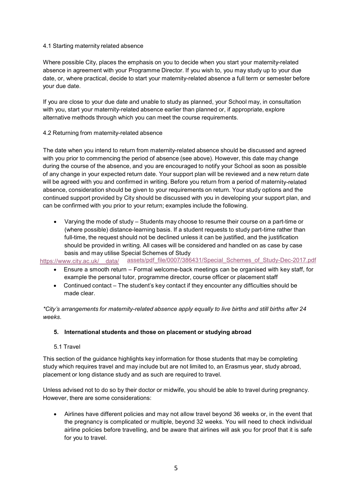#### 4.1 Starting maternity related absence

Where possible City, places the emphasis on you to decide when you start your maternity-related absence in agreement with your Programme Director. If you wish to, you may study up to your due date, or, where practical, decide to start your maternity-related absence a full term or semester before your due date.

If you are close to your due date and unable to study as planned, your School may, in consultation with you, start your maternity-related absence earlier than planned or, if appropriate, explore alternative methods through which you can meet the course requirements.

#### 4.2 Returning from maternity-related absence

The date when you intend to return from maternity-related absence should be discussed and agreed with you prior to commencing the period of absence (see above). However, this date may change during the course of the absence, and you are encouraged to notify your School as soon as possible of any change in your expected return date. Your support plan will be reviewed and a new return date will be agreed with you and confirmed in writing. Before you return from a period of maternity-related absence, consideration should be given to your requirements on return. Your study options and the continued support provided by City should be discussed with you in developing your support plan, and can be confirmed with you prior to your return; examples include the following.

• Varying the mode of study – Students may choose to resume their course on a part-time or (where possible) distance-learning basis. If a student requests to study part-time rather than full-time, the request should not be declined unless it can be justified, and the justification should be provided in writing. All cases will be considered and handled on as case by case basis and may utilise Special Schemes of Study

https://www.city.ac.uk/ data/ [assets/pdf\\_file/0007/386431/Special\\_Schemes\\_of\\_Study-Dec-2017.pdf](https://www.city.ac.uk/__data/assets/pdf_file/0007/386431/Special_Schemes_of_Study-Dec-2017.pdf)

- Ensure a smooth return Formal welcome-back meetings can be organised with key staff, for example the personal tutor, programme director, course officer or placement staff
- Continued contact The student's key contact if they encounter any difficulties should be made clear.

*\*City's arrangements for maternity-related absence apply equally to live births and still births after 24 weeks*.

#### **5. International students and those on placement or studying abroad**

#### 5.1 Travel

This section of the guidance highlights key information for those students that may be completing study which requires travel and may include but are not limited to, an Erasmus year, study abroad, placement or long distance study and as such are required to travel.

Unless advised not to do so by their doctor or midwife, you should be able to travel during pregnancy. However, there are some considerations:

• Airlines have different policies and may not allow travel beyond 36 weeks or, in the event that the pregnancy is complicated or multiple, beyond 32 weeks. You will need to check individual airline policies before travelling, and be aware that airlines will ask you for proof that it is safe for you to travel.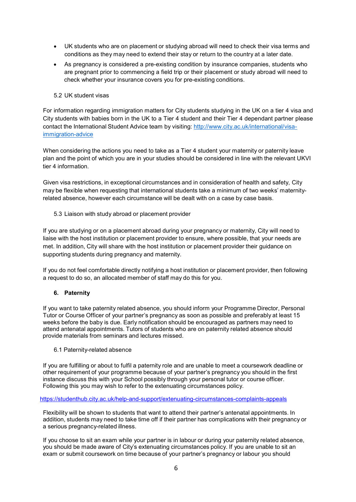- UK students who are on placement or studying abroad will need to check their visa terms and conditions as they may need to extend their stay or return to the country at a later date.
- As pregnancy is considered a pre-existing condition by insurance companies, students who are pregnant prior to commencing a field trip or their placement or study abroad will need to check whether your insurance covers you for pre-existing conditions.

### 5.2 UK student visas

For information regarding immigration matters for City students studying in the UK on a tier 4 visa and City students with babies born in the UK to a Tier 4 student and their Tier 4 dependant partner please contact the International Student Advice team by visiting: [http://www.city.ac.uk/international/visa](http://www.city.ac.uk/international/visa-immigration-advice)[immigration-advice](http://www.city.ac.uk/international/visa-immigration-advice)

When considering the actions you need to take as a Tier 4 student your maternity or paternity leave plan and the point of which you are in your studies should be considered in line with the relevant UKVI tier 4 information.

Given visa restrictions, in exceptional circumstances and in consideration of health and safety, City may be flexible when requesting that international students take a minimum of two weeks' maternityrelated absence, however each circumstance will be dealt with on a case by case basis.

5.3 Liaison with study abroad or placement provider

If you are studying or on a placement abroad during your pregnancy or maternity, City will need to liaise with the host institution or placement provider to ensure, where possible, that your needs are met. In addition, City will share with the host institution or placement provider their guidance on supporting students during pregnancy and maternity.

If you do not feel comfortable directly notifying a host institution or placement provider, then following a request to do so, an allocated member of staff may do this for you.

## **6. Paternity**

If you want to take paternity related absence, you should inform your Programme Director, Personal Tutor or Course Officer of your partner's pregnancy as soon as possible and preferably at least 15 weeks before the baby is due. Early notification should be encouraged as partners may need to attend antenatal appointments. Tutors of students who are on paternity related absence should provide materials from seminars and lectures missed.

6.1 Paternity-related absence

If you are fulfilling or about to fulfil a paternity role and are unable to meet a coursework deadline or other requirement of your programme because of your partner's pregnancy you should in the first instance discuss this with your School possibly through your personal tutor or course officer. Following this you may wish to refer to the extenuating circumstances policy.

### <https://studenthub.city.ac.uk/help-and-support/extenuating-circumstances-complaints-appeals>

Flexibility will be shown to students that want to attend their partner's antenatal appointments. In addition, students may need to take time off if their partner has complications with their pregnancy or a serious pregnancy-related illness.

If you choose to sit an exam while your partner is in labour or during your paternity related absence, you should be made aware of City's extenuating circumstances policy. If you are unable to sit an exam or submit coursework on time because of your partner's pregnancy or labour you should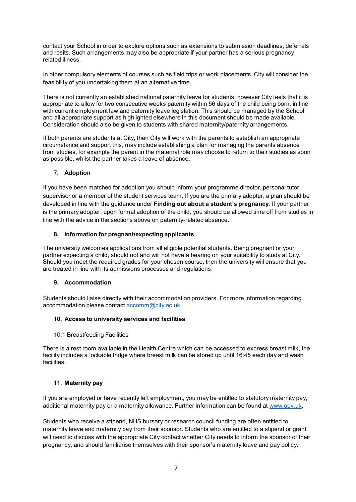contact your School in order to explore options such as extensions to submission deadlines, deferrals and resits. Such arrangements may also be appropriate if your partner has a serious pregnancy related illness.

In other compulsory elements of courses such as field trips or work placements, City will consider the feasibility of you undertaking them at an alternative time.

There is not currently an established national paternity leave for students, however City feels that it is appropriate to allow for two consecutive weeks paternity within 56 days of the child being born, in line with current employment law and paternity leave legislation. This should be managed by the School and all appropriate support as highlighted elsewhere in this document should be made available. Consideration should also be given to students with shared maternity/paternity arrangements.

If both parents are students at City, then City will work with the parents to establish an appropriate circumstance and support this, may include establishing a plan for managing the parents absence from studies, for example the parent in the maternal role may choose to return to their studies as soon as possible, whilst the partner takes a leave of absence.

#### **7. Adoption**

If you have been matched for adoption you should inform your programme director, personal tutor, supervisor or a member of the student services team. If you are the primary adopter, a plan should be developed in line with the guidance under **Finding out about a student's pregnancy**. If your partner is the primary adopter, upon formal adoption of the child, you should be allowed time off from studies in line with the advice in the sections above on paternity-related absence.

#### **8. Information for pregnant/expecting applicants**

The university welcomes applications from all eligible potential students. Being pregnant or your partner expecting a child, should not and will not have a bearing on your suitability to study at City. Should you meet the required grades for your chosen course, then the university will ensure that you are treated in line with its admissions processes and regulations.

#### **9. Accommodation**

Students should liaise directly with their accommodation providers. For more information regarding accommodation please contact [accomm@city.ac.uk](mailto:accomm@city.ac.uk)

#### **10. Access to university services and facilities**

10.1 Breastfeeding Facilities

There is a rest room available in the Health Centre which can be accessed to express breast milk, the facility includes a lockable fridge where breast milk can be stored up until 16:45 each day and wash facilities.

#### **11. Maternity pay**

If you are employed or have recently left employment, you may be entitled to statutory maternity pay, additional maternity pay or a maternity allowance. Further information can be found at [www.gov.uk.](http://www.gov.uk/)

Students who receive a stipend, NHS bursary or research council funding are often entitled to maternity leave and maternity pay from their sponsor. Students who are entitled to a stipend or grant will need to discuss with the appropriate City contact whether City needs to inform the sponsor of their pregnancy, and should familiarise themselves with their sponsor's maternity leave and pay policy.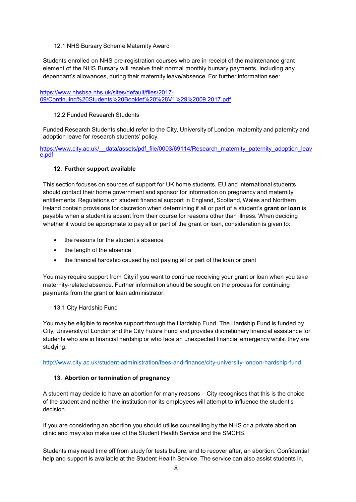12.1 NHS Bursary Scheme Maternity Award

Students enrolled on NHS pre-registration courses who are in receipt of the maintenance grant element of the NHS Bursary will receive their normal monthly bursary payments, including any dependant's allowances, during their maternity leave/absence. For further information see:

[https://www.nhsbsa.nhs.uk/sites/default/files/2017-](https://www.nhsbsa.nhs.uk/sites/default/files/2017-09/Continuing%20Students%20Booklet%20%28V1%29%2009.2017.pdf) [09/Continuing%20Students%20Booklet%20%28V1%29%2009.2017.pdf](https://www.nhsbsa.nhs.uk/sites/default/files/2017-09/Continuing%20Students%20Booklet%20%28V1%29%2009.2017.pdf)

#### 12.2 Funded Research Students

Funded Research Students should refer to the City, University of London, maternity and paternity and adoption leave for research students' policy.

[https://www.city.ac.uk/\\_\\_data/assets/pdf\\_file/0003/69114/Research\\_maternity\\_paternity\\_adoption\\_leav](https://www.city.ac.uk/__data/assets/pdf_file/0003/69114/Research_maternity_paternity_adoption_leave.pdf) [e.pdf](https://www.city.ac.uk/__data/assets/pdf_file/0003/69114/Research_maternity_paternity_adoption_leave.pdf)

#### **12. Further support available**

This section focuses on sources of support for UK home students. EU and international students should contact their home government and sponsor for information on pregnancy and maternity entitlements. Regulations on student financial support in England, Scotland, Wales and Northern Ireland contain provisions for discretion when determining if all or part of a student's **grant or loan** is payable when a student is absent from their course for reasons other than illness. When deciding whether it would be appropriate to pay all or part of the grant or loan, consideration is given to:

- the reasons for the student's absence
- the length of the absence
- the financial hardship caused by not paying all or part of the loan or grant

You may require support from City if you want to continue receiving your grant or loan when you take maternity-related absence. Further information should be sought on the process for continuing payments from the grant or loan administrator.

#### 13.1 City Hardship Fund

You may be eligible to receive support through the Hardship Fund. The Hardship Fund is funded by City, University of London and the City Future Fund and provides discretionary financial assistance for students who are in financial hardship or who face an unexpected financial emergency whilst they are studying.

<http://www.city.ac.uk/student-administration/fees-and-finance/city-university-london-hardship-fund>

#### **13. Abortion or termination of pregnancy**

A student may decide to have an abortion for many reasons – City recognises that this is the choice of the student and neither the institution nor its employees will attempt to influence the student's decision.

If you are considering an abortion you should utilise counselling by the NHS or a private abortion clinic and may also make use of the Student Health Service and the SMCHS.

Students may need time off from study for tests before, and to recover after, an abortion. Confidential help and support is available at the Student Health Service. The service can also assist students in,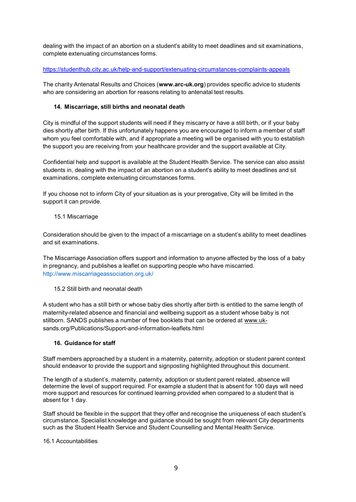dealing with the impact of an abortion on a student's ability to meet deadlines and sit examinations, complete extenuating circumstances forms.

#### <https://studenthub.city.ac.uk/help-and-support/extenuating-circumstances-complaints-appeals>

The charity Antenatal Results and Choices (**www.arc-uk.org**) provides specific advice to students who are considering an abortion for reasons relating to antenatal test results.

### **14. Miscarriage, still births and neonatal death**

City is mindful of the support students will need if they miscarry or have a still birth, or if your baby dies shortly after birth. If this unfortunately happens you are encouraged to inform a member of staff whom you feel comfortable with, and if appropriate a meeting will be organised with you to establish the support you are receiving from your healthcare provider and the support available at City.

Confidential help and support is available at the Student Health Service. The service can also assist students in, dealing with the impact of an abortion on a student's ability to meet deadlines and sit examinations, complete extenuating circumstances forms.

If you choose not to inform City of your situation as is your prerogative, City will be limited in the support it can provide.

15.1 Miscarriage

Consideration should be given to the impact of a miscarriage on a student's ability to meet deadlines and sit examinations.

The Miscarriage Association offers support and information to anyone affected by the loss of a baby in pregnancy, and publishes a leaflet on supporting people who have miscarried. <http://www.miscarriageassociation.org.uk/>

15.2 Still birth and neonatal death

A student who has a still birth or whose baby dies shortly after birth is entitled to the same length of maternity-related absence and financial and wellbeing support as a student whose baby is not stillborn. SANDS publishes a number of free booklets that can be ordered at [www.uk](http://www.uk-sands.org/Publications/Support-and-information-leaflets.html)[sands.org/Publications/Support-and-information-leaflets.html](http://www.uk-sands.org/Publications/Support-and-information-leaflets.html)

#### **16. Guidance for staff**

Staff members approached by a student in a maternity, paternity, adoption or student parent context should endeavor to provide the support and signposting highlighted throughout this document.

The length of a student's, maternity, paternity, adoption or student parent related, absence will determine the level of support required. For example a student that is absent for 100 days will need more support and resources for continued learning provided when compared to a student that is absent for 1 day.

Staff should be flexible in the support that they offer and recognise the uniqueness of each student's circumstance. Specialist knowledge and guidance should be sought from relevant City departments such as the Student Health Service and Student Counselling and Mental Health Service.

### 16.1 Accountabilities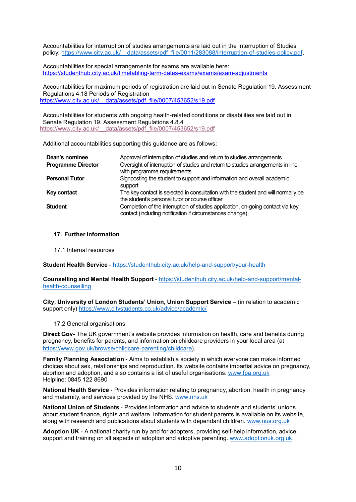Accountabilities for interruption of studies arrangements are laid out in the Interruption of Studies policy: [https://www.city.ac.uk/](https://www.city.ac.uk/__data/assets/pdf_file/0011/283088/interruption-of-studies-policy.pdf) data/assets/pdf file/0011/283088/interruption-of-studies-policy.pdf.

Accountabilities for special arrangements for exams are available here: <https://studenthub.city.ac.uk/timetabling-term-dates-exams/exams/exam-adjustments>

Accountabilities for maximum periods of registration are laid out in Senate Regulation 19. Assessment Regulations 4.18 Periods of Registration [https://www.city.ac.uk/\\_\\_data/assets/pdf\\_file/0007/453652/s19.pdf](https://www.city.ac.uk/__data/assets/pdf_file/0007/453652/s19.pdf)

Accountabilities for students with ongoing health-related conditions or disabilities are laid out in Senate Regulation 19. Assessment Regulations 4.8.4 [https://www.city.ac.uk/\\_\\_data/assets/pdf\\_file/0007/453652/s19.pdf](https://www.city.ac.uk/__data/assets/pdf_file/0007/453652/s19.pdf)

Additional accountabilities supporting this guidance are as follows:

| Dean's nominee            | Approval of interruption of studies and return to studies arrangements                                                                      |
|---------------------------|---------------------------------------------------------------------------------------------------------------------------------------------|
| <b>Programme Director</b> | Oversight of interruption of studies and return to studies arrangements in line<br>with programme requirements                              |
| <b>Personal Tutor</b>     | Signposting the student to support and information and overall academic<br>support                                                          |
| Key contact               | The key contact is selected in consultation with the student and will normally be<br>the student's personal tutor or course officer         |
| <b>Student</b>            | Completion of the interruption of studies application, on-going contact via key<br>contact (including notification if circumstances change) |

#### **17. Further information**

17.1 Internal resources

**Student Health Service** - <https://studenthub.city.ac.uk/help-and-support/your-health>

**Counselling and Mental Health Support** - [https://studenthub.city.ac.uk/help-and-support/mental](https://studenthub.city.ac.uk/help-and-support/mental-health-counselling)[health-counselling](https://studenthub.city.ac.uk/help-and-support/mental-health-counselling)

**City, University of London Students' Union, Union Support Service** – (in relation to academic support only) <https://www.citystudents.co.uk/advice/academic/>

#### 17.2 General organisations

**Direct Gov**- The UK government's website provides information on health, care and benefits during pregnancy, benefits for parents, and information on childcare providers in your local area (at <https://www.gov.uk/browse/childcare-parenting/childcare>).

**Family Planning Association** - Aims to establish a society in which everyone can make informed choices about sex, relationships and reproduction. Its website contains impartial advice on pregnancy, abortion and adoption, and also contains a list of useful organisations. [www.fpa.org.uk](http://www.fpa.org.uk/) Helpline: 0845 122 8690

**National Health Service** - Provides information relating to pregnancy, abortion, health in pregnancy and maternity, and services provided by the NHS. [www.nhs.uk](http://www.nhs.uk/)

**National Union of Students** - Provides information and advice to students and students' unions about student finance, rights and welfare. Information for student parents is available on its website, along with research and publications about students with dependant children. [www.nus.org.uk](http://www.nus.org.uk/)

**Adoption UK** - A national charity run by and for adopters, providing self-help information, advice, support and training on all aspects of adoption and adoptive parenting. [www.adoptionuk.org.uk](http://www.adoptionuk.org.uk/)